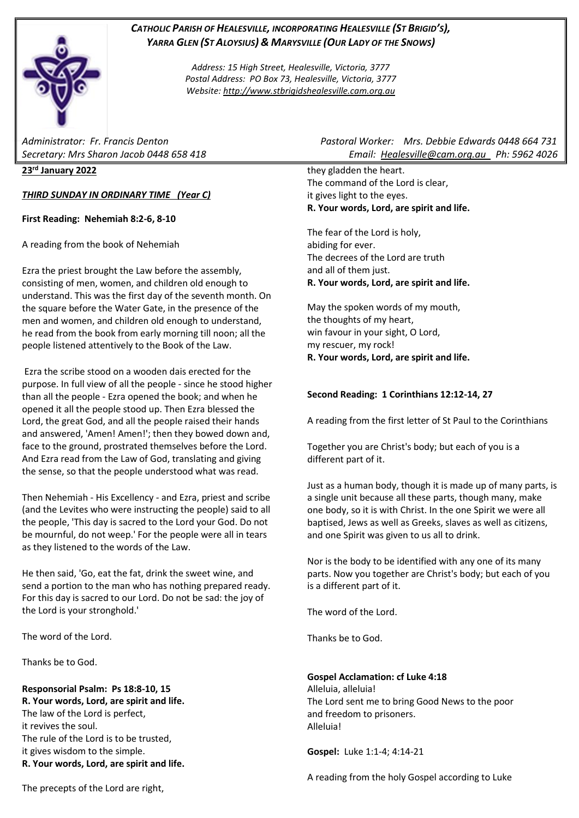# *CATHOLIC PARISH OF HEALESVILLE, INCORPORATING HEALESVILLE (ST BRIGID'S), YARRA GLEN (ST ALOYSIUS) & MARYSVILLE (OUR LADY OF THE SNOWS)*

*Address: 15 High Street, Healesville, Victoria, 3777 Postal Address: PO Box 73, Healesville, Victoria, 3777 Website: [http://www.stbrigidshealesville.cam.org.au](http://www.stbrigidshealesville.cam.org.au/)*

**23rd January 2022**

*THIRD SUNDAY IN ORDINARY TIME (Year C)*

**First Reading: Nehemiah 8:2-6, 8-10**

A reading from the book of Nehemiah

Ezra the priest brought the Law before the assembly, consisting of men, women, and children old enough to understand. This was the first day of the seventh month. On the square before the Water Gate, in the presence of the men and women, and children old enough to understand, he read from the book from early morning till noon; all the people listened attentively to the Book of the Law.

Ezra the scribe stood on a wooden dais erected for the purpose. In full view of all the people - since he stood higher than all the people - Ezra opened the book; and when he opened it all the people stood up. Then Ezra blessed the Lord, the great God, and all the people raised their hands and answered, 'Amen! Amen!'; then they bowed down and, face to the ground, prostrated themselves before the Lord. And Ezra read from the Law of God, translating and giving the sense, so that the people understood what was read.

Then Nehemiah - His Excellency - and Ezra, priest and scribe (and the Levites who were instructing the people) said to all the people, 'This day is sacred to the Lord your God. Do not be mournful, do not weep.' For the people were all in tears as they listened to the words of the Law.

He then said, 'Go, eat the fat, drink the sweet wine, and send a portion to the man who has nothing prepared ready. For this day is sacred to our Lord. Do not be sad: the joy of the Lord is your stronghold.'

The word of the Lord.

Thanks be to God.

### **Responsorial Psalm: Ps 18:8-10, 15**

**R. Your words, Lord, are spirit and life.** The law of the Lord is perfect, it revives the soul. The rule of the Lord is to be trusted, it gives wisdom to the simple. **R. Your words, Lord, are spirit and life.**

*Administrator: Fr. Francis Denton Pastoral Worker: Mrs. Debbie Edwards 0448 664 731 Secretary: Mrs Sharon Jacob 0448 658 418 Email: [Healesville@cam.org.au](mailto:Healesville@cam.org.au) Ph: 5962 4026* 

> they gladden the heart. The command of the Lord is clear, it gives light to the eyes. **R. Your words, Lord, are spirit and life.**

> The fear of the Lord is holy, abiding for ever. The decrees of the Lord are truth and all of them just. **R. Your words, Lord, are spirit and life.**

> May the spoken words of my mouth, the thoughts of my heart, win favour in your sight, O Lord, my rescuer, my rock! **R. Your words, Lord, are spirit and life.**

#### **Second Reading: 1 Corinthians 12:12-14, 27**

A reading from the first letter of St Paul to the Corinthians

Together you are Christ's body; but each of you is a different part of it.

Just as a human body, though it is made up of many parts, is a single unit because all these parts, though many, make one body, so it is with Christ. In the one Spirit we were all baptised, Jews as well as Greeks, slaves as well as citizens, and one Spirit was given to us all to drink.

Nor is the body to be identified with any one of its many parts. Now you together are Christ's body; but each of you is a different part of it.

The word of the Lord.

Thanks be to God.

#### **Gospel Acclamation: cf Luke 4:18**

Alleluia, alleluia! The Lord sent me to bring Good News to the poor and freedom to prisoners. Alleluia!

**Gospel:** Luke 1:1-4; 4:14-21

A reading from the holy Gospel according to Luke

The precepts of the Lord are right,